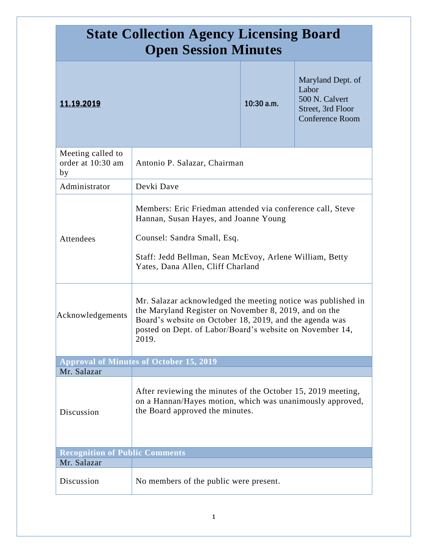| <b>State Collection Agency Licensing Board</b><br><b>Open Session Minutes</b> |                                                                                                                                                                                                                                                       |              |                                                                                             |
|-------------------------------------------------------------------------------|-------------------------------------------------------------------------------------------------------------------------------------------------------------------------------------------------------------------------------------------------------|--------------|---------------------------------------------------------------------------------------------|
| 11.19.2019                                                                    |                                                                                                                                                                                                                                                       | $10:30$ a.m. | Maryland Dept. of<br>Labor<br>500 N. Calvert<br>Street, 3rd Floor<br><b>Conference Room</b> |
| Meeting called to<br>order at 10:30 am<br>by                                  | Antonio P. Salazar, Chairman                                                                                                                                                                                                                          |              |                                                                                             |
| Administrator                                                                 | Devki Dave                                                                                                                                                                                                                                            |              |                                                                                             |
| Attendees                                                                     | Members: Eric Friedman attended via conference call, Steve<br>Hannan, Susan Hayes, and Joanne Young<br>Counsel: Sandra Small, Esq.<br>Staff: Jedd Bellman, Sean McEvoy, Arlene William, Betty<br>Yates, Dana Allen, Cliff Charland                    |              |                                                                                             |
| Acknowledgements                                                              | Mr. Salazar acknowledged the meeting notice was published in<br>the Maryland Register on November 8, 2019, and on the<br>Board's website on October 18, 2019, and the agenda was<br>posted on Dept. of Labor/Board's website on November 14,<br>2019. |              |                                                                                             |
|                                                                               | <b>Approval of Minutes of October 15, 2019</b>                                                                                                                                                                                                        |              |                                                                                             |
| Mr. Salazar<br>Discussion                                                     | After reviewing the minutes of the October 15, 2019 meeting,<br>on a Hannan/Hayes motion, which was unanimously approved,<br>the Board approved the minutes.                                                                                          |              |                                                                                             |
| <b>Recognition of Public Comments</b>                                         |                                                                                                                                                                                                                                                       |              |                                                                                             |
| Mr. Salazar                                                                   |                                                                                                                                                                                                                                                       |              |                                                                                             |
| Discussion                                                                    | No members of the public were present.                                                                                                                                                                                                                |              |                                                                                             |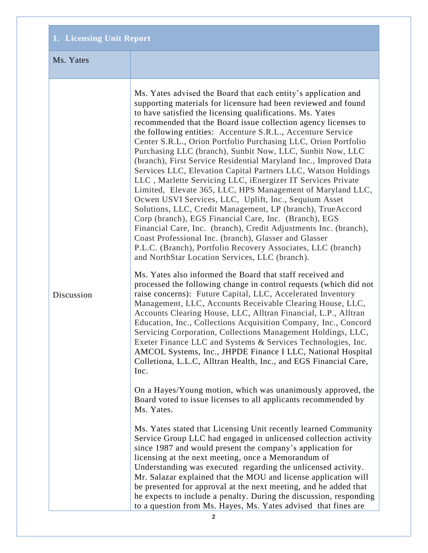## **1. Licensing Unit Report**

## Ms. Yates

Discussion

Ms. Yates advised the Board that each entity's application and supporting materials for licensure had been reviewed and found to have satisfied the licensing qualifications. Ms. Yates recommended that the Board issue collection agency licenses to the following entities: Accenture S.R.L., Accenture Service Center S.R.L., Orion Portfolio Purchasing LLC, Orion Portfolio Purchasing LLC (branch), Sunbit Now, LLC, Sunbit Now, LLC (branch), First Service Residential Maryland Inc., Improved Data Services LLC, Elevation Capital Partners LLC, Watson Holdings LLC , Marlette Servicing LLC, iEnergizer IT Services Private Limited, Elevate 365, LLC, HPS Management of Maryland LLC, Ocwen USVI Services, LLC, Uplift, Inc., Sequium Asset Solutions, LLC, Credit Management, LP (branch), TrueAccord Corp (branch), EGS Financial Care, Inc. (Branch), EGS Financial Care, Inc. (branch), Credit Adjustments Inc. (branch), Coast Professional Inc. (branch), Glasser and Glasser P.L.C. (Branch), Portfolio Recovery Associates, LLC (branch) and NorthStar Location Services, LLC (branch).

Ms. Yates also informed the Board that staff received and processed the following change in control requests (which did not raise concerns): Future Capital, LLC, Accelerated Inventory Management, LLC, Accounts Receivable Clearing House, LLC, Accounts Clearing House, LLC, Alltran Financial, L.P., Alltran Education, Inc., Collections Acquisition Company, Inc., Concord Servicing Corporation, Collections Management Holdings, LLC, Exeter Finance LLC and Systems & Services Technologies, Inc. AMCOL Systems, Inc., JHPDE Finance I LLC, National Hospital Colletiona, L.L.C, Alltran Health, Inc., and EGS Financial Care, Inc.

On a Hayes/Young motion, which was unanimously approved, the Board voted to issue licenses to all applicants recommended by Ms. Yates.

Ms. Yates stated that Licensing Unit recently learned Community Service Group LLC had engaged in unlicensed collection activity since 1987 and would present the company's application for licensing at the next meeting, once a Memorandum of Understanding was executed regarding the unlicensed activity. Mr. Salazar explained that the MOU and license application will be presented for approval at the next meeting, and he added that he expects to include a penalty. During the discussion, responding to a question from Ms. Hayes, Ms. Yates advised that fines are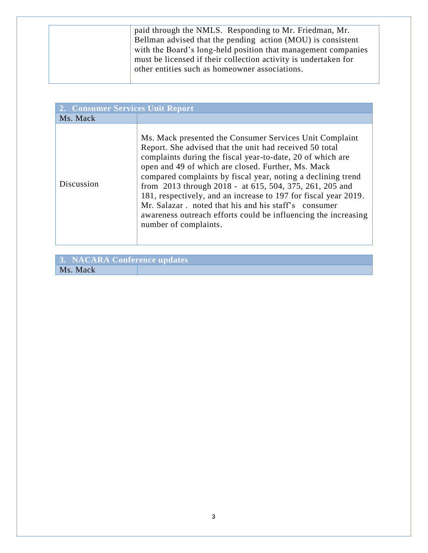| paid through the NMLS. Responding to Mr. Friedman, Mr.          |
|-----------------------------------------------------------------|
| Bellman advised that the pending action (MOU) is consistent     |
| with the Board's long-held position that management companies   |
| must be licensed if their collection activity is undertaken for |
| other entities such as homeowner associations.                  |
|                                                                 |

| 2. Consumer Services Unit Report |                                                                                                                                                                                                                                                                                                                                                                                                                                                                                                                                                                                         |
|----------------------------------|-----------------------------------------------------------------------------------------------------------------------------------------------------------------------------------------------------------------------------------------------------------------------------------------------------------------------------------------------------------------------------------------------------------------------------------------------------------------------------------------------------------------------------------------------------------------------------------------|
| Ms. Mack                         |                                                                                                                                                                                                                                                                                                                                                                                                                                                                                                                                                                                         |
| Discussion                       | Ms. Mack presented the Consumer Services Unit Complaint<br>Report. She advised that the unit had received 50 total<br>complaints during the fiscal year-to-date, 20 of which are<br>open and 49 of which are closed. Further, Ms. Mack<br>compared complaints by fiscal year, noting a declining trend<br>from 2013 through 2018 - at 615, 504, 375, 261, 205 and<br>181, respectively, and an increase to 197 for fiscal year 2019.<br>Mr. Salazar, noted that his and his staff's consumer<br>awareness outreach efforts could be influencing the increasing<br>number of complaints. |

| 3. NACARA Conference updates |  |
|------------------------------|--|
| Ms. Mack                     |  |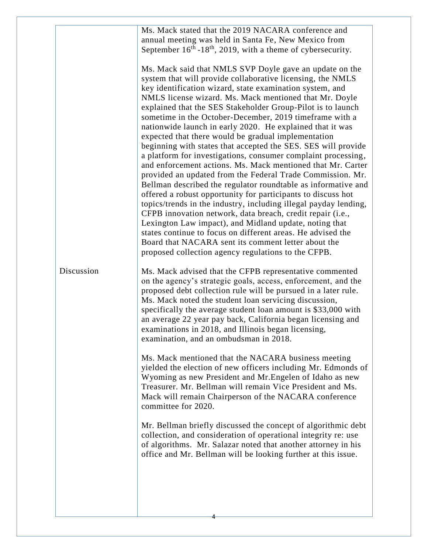| collection, and consideration of operational integrity re: use<br>of algorithms. Mr. Salazar noted that another attorney in his<br>office and Mr. Bellman will be looking further at this issue. |
|--------------------------------------------------------------------------------------------------------------------------------------------------------------------------------------------------|
|--------------------------------------------------------------------------------------------------------------------------------------------------------------------------------------------------|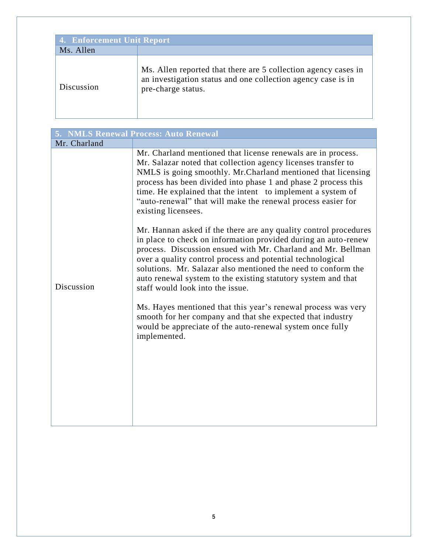| <b>4. Enforcement Unit Report</b> |                                                                                                                                                      |  |
|-----------------------------------|------------------------------------------------------------------------------------------------------------------------------------------------------|--|
| Ms. Allen                         |                                                                                                                                                      |  |
| Discussion                        | Ms. Allen reported that there are 5 collection agency cases in<br>an investigation status and one collection agency case is in<br>pre-charge status. |  |